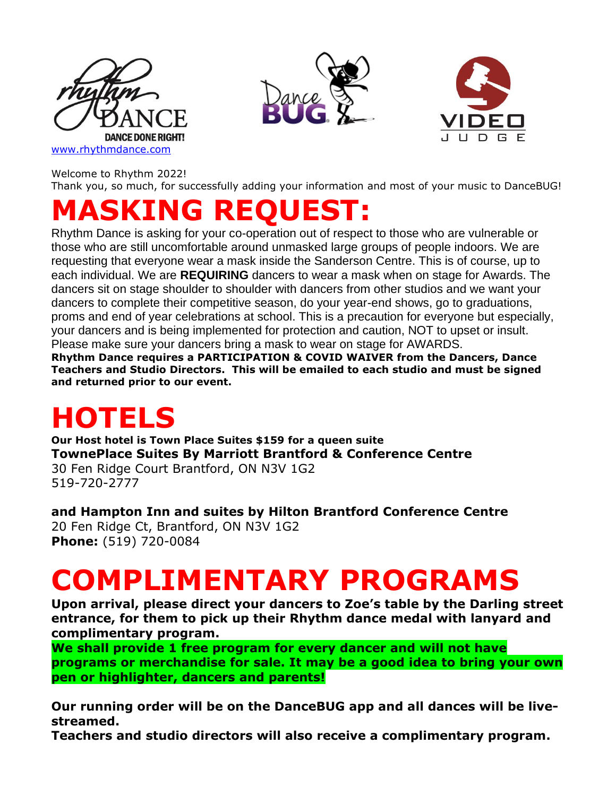





Welcome to Rhythm 2022!

Thank you, so much, for successfully adding your information and most of your music to DanceBUG!

# **MASKING REQUEST:**

Rhythm Dance is asking for your co-operation out of respect to those who are vulnerable or those who are still uncomfortable around unmasked large groups of people indoors. We are requesting that everyone wear a mask inside the Sanderson Centre. This is of course, up to each individual. We are **REQUIRING** dancers to wear a mask when on stage for Awards. The dancers sit on stage shoulder to shoulder with dancers from other studios and we want your dancers to complete their competitive season, do your year-end shows, go to graduations, proms and end of year celebrations at school. This is a precaution for everyone but especially, your dancers and is being implemented for protection and caution, NOT to upset or insult. Please make sure your dancers bring a mask to wear on stage for AWARDS.

**Rhythm Dance requires a PARTICIPATION & COVID WAIVER from the Dancers, Dance Teachers and Studio Directors. This will be emailed to each studio and must be signed and returned prior to our event.**

### **HOTELS**

**Our Host hotel is Town Place Suites \$159 for a queen suite TownePlace Suites By Marriott Brantford & Conference Centre**

30 Fen Ridge Court Brantford, ON N3V 1G2 519-720-2777

**and Hampton Inn and suites by Hilton Brantford Conference Centre** 20 Fen Ridge Ct, Brantford, ON N3V 1G2 **[Phone:](https://www.google.com/search?rlz=1C1CHBD_enCA831CA831&sxsrf=ALiCzsYub_hLbPMLjPtrO3j90vspSCTcDw:1651881849865&q=hampton+inn+brantford+phone&ludocid=7291251277862338558&sa=X&ved=2ahUKEwjj1fy2i8z3AhWJKM0KHRqPAukQ6BN6BAhwEAI)** [\(519\) 720-0084](https://www.google.com/search?gs_ssp=eJzj4tZP1zcsSUk3LqtKMWC0UjWosLAwSjZLTTZNNk1NsTBINLUyqDAzNUpLSjSzMDQ0tEhLS0v1Es1IzC0oyc9TyMzLU0gqSswrScsvSgEAT34Xtg&q=hampton+inn+brantford&rlz=1C1CHBD_enCA831CA831&oq=ha&aqs=chrome.1.69i59j46i39i175i199j69i57j0i512j46i512j46i199i291i433i512j46i131i433i512j0i433i512j0i131i433i512j46i199i465i512.2363j0j15&sourceid=chrome&ie=UTF-8)

### **COMPLIMENTARY PROGRAMS**

**Upon arrival, please direct your dancers to Zoe's table by the Darling street entrance, for them to pick up their Rhythm dance medal with lanyard and complimentary program.**

**We shall provide 1 free program for every dancer and will not have programs or merchandise for sale. It may be a good idea to bring your own pen or highlighter, dancers and parents!**

**Our running order will be on the DanceBUG app and all dances will be livestreamed.** 

**Teachers and studio directors will also receive a complimentary program.**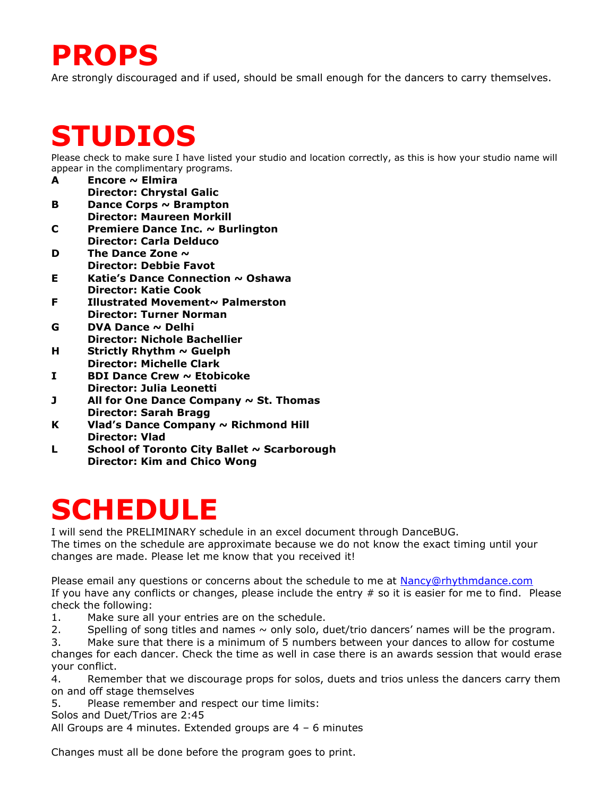#### **PROPS**

Are strongly discouraged and if used, should be small enough for the dancers to carry themselves.

#### **STUDIOS**

Please check to make sure I have listed your studio and location correctly, as this is how your studio name will appear in the complimentary programs.

- **A Encore ~ Elmira Director: Chrystal Galic**
- **B Dance Corps ~ Brampton Director: Maureen Morkill**
- **C Premiere Dance Inc. ~ Burlington Director: Carla Delduco**
- **D The Dance Zone ~ Director: Debbie Favot**
- **E Katie's Dance Connection ~ Oshawa Director: Katie Cook**
- **F Illustrated Movement~ Palmerston Director: Turner Norman**
- **G DVA Dance ~ Delhi Director: Nichole Bachellier**
- **H Strictly Rhythm ~ Guelph Director: Michelle Clark**
- **I BDI Dance Crew ~ Etobicoke Director: Julia Leonetti**
- **J All for One Dance Company ~ St. Thomas Director: Sarah Bragg**
- **K Vlad's Dance Company ~ Richmond Hill Director: Vlad**
- **L School of Toronto City Ballet ~ Scarborough Director: Kim and Chico Wong**

#### **SCHEDULE**

I will send the PRELIMINARY schedule in an excel document through DanceBUG. The times on the schedule are approximate because we do not know the exact timing until your changes are made. Please let me know that you received it!

Please email any questions or concerns about the schedule to me at [Nancy@rhythmdance.com](mailto:Nancy@rhythmdance.com) If you have any conflicts or changes, please include the entry # so it is easier for me to find. Please check the following:

- 1. Make sure all your entries are on the schedule.
- 2. Spelling of song titles and names  $\sim$  only solo, duet/trio dancers' names will be the program.

3. Make sure that there is a minimum of 5 numbers between your dances to allow for costume changes for each dancer. Check the time as well in case there is an awards session that would erase your conflict.

4. Remember that we discourage props for solos, duets and trios unless the dancers carry them on and off stage themselves

5. Please remember and respect our time limits:

Solos and Duet/Trios are 2:45

All Groups are 4 minutes. Extended groups are 4 – 6 minutes

Changes must all be done before the program goes to print.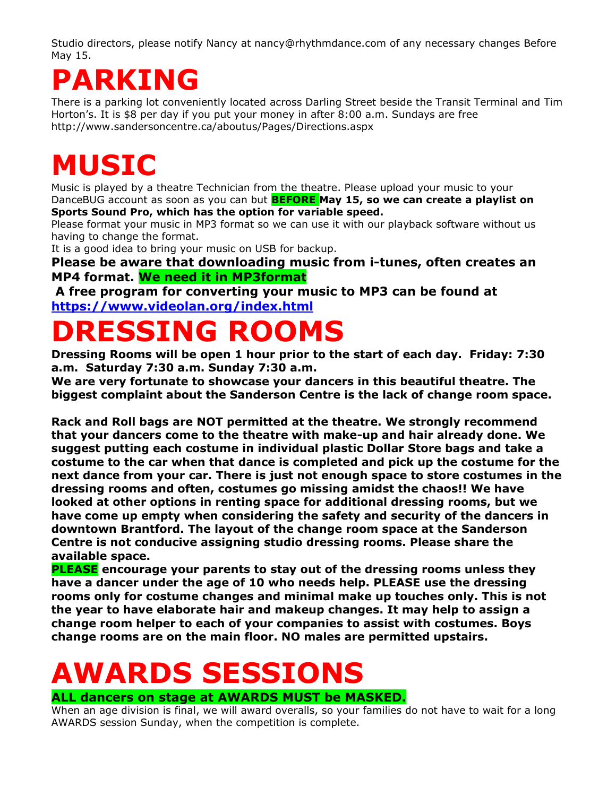Studio directors, please notify Nancy at nancy@rhythmdance.com of any necessary changes Before May 15.

## **PARKING**

There is a parking lot conveniently located across Darling Street beside the Transit Terminal and Tim Horton's. It is \$8 per day if you put your money in after 8:00 a.m. Sundays are free http://www.sandersoncentre.ca/aboutus/Pages/Directions.aspx

## **MUSIC**

Music is played by a theatre Technician from the theatre. Please upload your music to your DanceBUG account as soon as you can but **BEFORE May 15, so we can create a playlist on Sports Sound Pro, which has the option for variable speed.** 

Please format your music in MP3 format so we can use it with our playback software without us having to change the format.

It is a good idea to bring your music on USB for backup.

**Please be aware that downloading music from i-tunes, often creates an MP4 format. We need it in MP3format**

**A free program for converting your music to MP3 can be found at <https://www.videolan.org/index.html>**

## **DRESSING ROOMS**

**Dressing Rooms will be open 1 hour prior to the start of each day. Friday: 7:30 a.m. Saturday 7:30 a.m. Sunday 7:30 a.m.**

**We are very fortunate to showcase your dancers in this beautiful theatre. The biggest complaint about the Sanderson Centre is the lack of change room space.** 

**Rack and Roll bags are NOT permitted at the theatre. We strongly recommend that your dancers come to the theatre with make-up and hair already done. We suggest putting each costume in individual plastic Dollar Store bags and take a costume to the car when that dance is completed and pick up the costume for the next dance from your car. There is just not enough space to store costumes in the dressing rooms and often, costumes go missing amidst the chaos!! We have looked at other options in renting space for additional dressing rooms, but we have come up empty when considering the safety and security of the dancers in downtown Brantford. The layout of the change room space at the Sanderson Centre is not conducive assigning studio dressing rooms. Please share the available space.** 

**PLEASE encourage your parents to stay out of the dressing rooms unless they have a dancer under the age of 10 who needs help. PLEASE use the dressing rooms only for costume changes and minimal make up touches only. This is not the year to have elaborate hair and makeup changes. It may help to assign a change room helper to each of your companies to assist with costumes. Boys change rooms are on the main floor. NO males are permitted upstairs.**

#### **AWARDS SESSIONS ALL dancers on stage at AWARDS MUST be MASKED.**

When an age division is final, we will award overalls, so your families do not have to wait for a long AWARDS session Sunday, when the competition is complete.